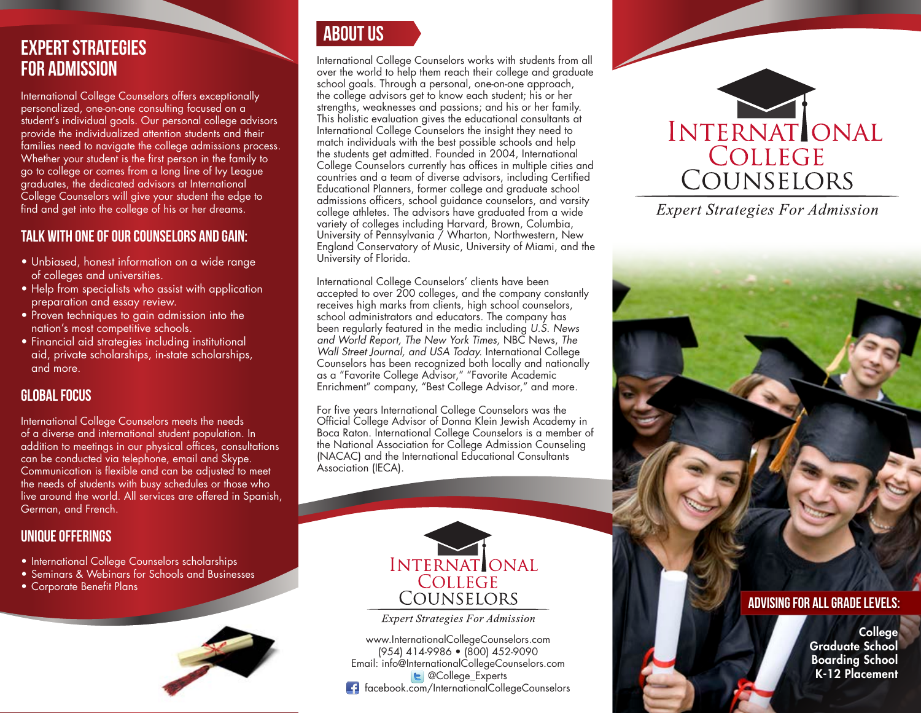# Expert Strategies For Admission

International College Counselors offers exceptionally personalized, one-on-one consulting focused on a student's individual goals. Our personal college advisors provide the individualized attention students and their families need to navigate the college admissions process. Whether your student is the first person in the family to go to college or comes from a long line of Ivy League graduates, the dedicated advisors at International College Counselors will give your student the edge to find and get into the college of his or her dreams.

## TALK with one of our counselors and gain:

- Unbiased, honest information on a wide range of colleges and universities.
- Help from specialists who assist with application preparation and essay review.
- Proven techniques to gain admission into the nation's most competitive schools.
- Financial aid strategies including institutional aid, private scholarships, in-state scholarships, and more.

## Global Focus

International College Counselors meets the needs of a diverse and international student population. In addition to meetings in our physical offices, consultations can be conducted via telephone, email and Skype. Communication is flexible and can be adjusted to meet the needs of students with busy schedules or those who live around the world. All services are offered in Spanish, German, and French.

### Unique Offerings

- International College Counselors scholarships
- Seminars & Webinars for Schools and Businesses Corporate Benefit Plans
- 





International College Counselors works with students from all over the world to help them reach their college and graduate school goals. Through a personal, one-on-one approach, the college advisors get to know each student; his or her strengths, weaknesses and passions; and his or her family. This holistic evaluation gives the educational consultants at International College Counselors the insight they need to match individuals with the best possible schools and help the students get admitted. Founded in 2004, International College Counselors currently has offices in multiple cities and countries and a team of diverse advisors, including Certified Educational Planners, former college and graduate school admissions officers, school guidance counselors, and varsity college athletes. The advisors have graduated from a wide variety of colleges including Harvard, Brown, Columbia, University of Pennsylvania / Wharton, Northwestern, New England Conservatory of Music, University of Miami, and the University of Florida.

International College Counselors' clients have been accepted to over 200 colleges, and the company constantly receives high marks from clients, high school counselors, school administrators and educators. The company has been regularly featured in the media including *U.S. News and World Report, The New York Times,* NBC News, *The Wall Street Journal, and USA Today.* International College Counselors has been recognized both locally and nationally as a "Favorite College Advisor," "Favorite Academic Enrichment" company, "Best College Advisor," and more.

For five years International College Counselors was the Official College Advisor of Donna Klein Jewish Academy in Boca Raton. International College Counselors is a member of the National Association for College Admission Counseling (NACAC) and the International Educational Consultants Association (IECA).



**Expert Strategies For Admission** 

www.InternationalCollegeCounselors.com (954) 414-9986 • (800) 452-9090 Email: info@InternationalCollegeCounselors.com **E** @College Experts facebook.com/InternationalCollegeCounselors



**Expert Strategies For Admission** 

#### Advising For All Grade Levels:

**College** Graduate School Boarding School K-12 Placement